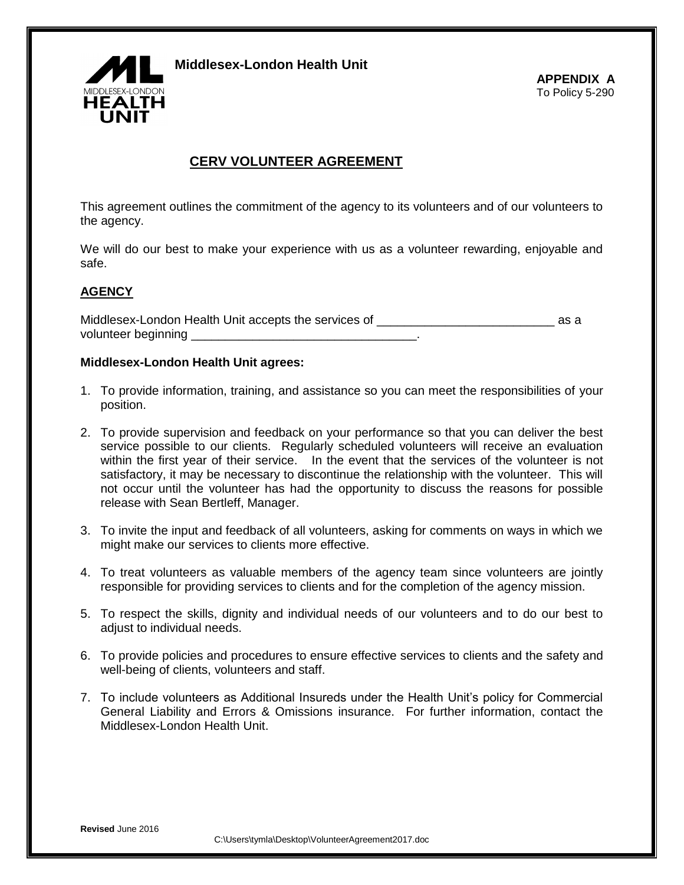

**Middlesex-London Health Unit**

## **CERV VOLUNTEER AGREEMENT**

This agreement outlines the commitment of the agency to its volunteers and of our volunteers to the agency.

We will do our best to make your experience with us as a volunteer rewarding, enjoyable and safe.

## **AGENCY**

Middlesex-London Health Unit accepts the services of \_\_\_\_\_\_\_\_\_\_\_\_\_\_\_\_\_\_\_\_\_\_\_\_\_\_ as a volunteer beginning \_\_\_\_\_\_\_\_\_\_\_\_\_\_\_\_\_\_\_\_\_\_\_\_\_\_\_\_\_\_\_\_\_.

## **Middlesex-London Health Unit agrees:**

- 1. To provide information, training, and assistance so you can meet the responsibilities of your position.
- 2. To provide supervision and feedback on your performance so that you can deliver the best service possible to our clients. Regularly scheduled volunteers will receive an evaluation within the first year of their service. In the event that the services of the volunteer is not satisfactory, it may be necessary to discontinue the relationship with the volunteer. This will not occur until the volunteer has had the opportunity to discuss the reasons for possible release with Sean Bertleff, Manager.
- 3. To invite the input and feedback of all volunteers, asking for comments on ways in which we might make our services to clients more effective.
- 4. To treat volunteers as valuable members of the agency team since volunteers are jointly responsible for providing services to clients and for the completion of the agency mission.
- 5. To respect the skills, dignity and individual needs of our volunteers and to do our best to adjust to individual needs.
- 6. To provide policies and procedures to ensure effective services to clients and the safety and well-being of clients, volunteers and staff.
- 7. To include volunteers as Additional Insureds under the Health Unit's policy for Commercial General Liability and Errors & Omissions insurance. For further information, contact the Middlesex-London Health Unit.